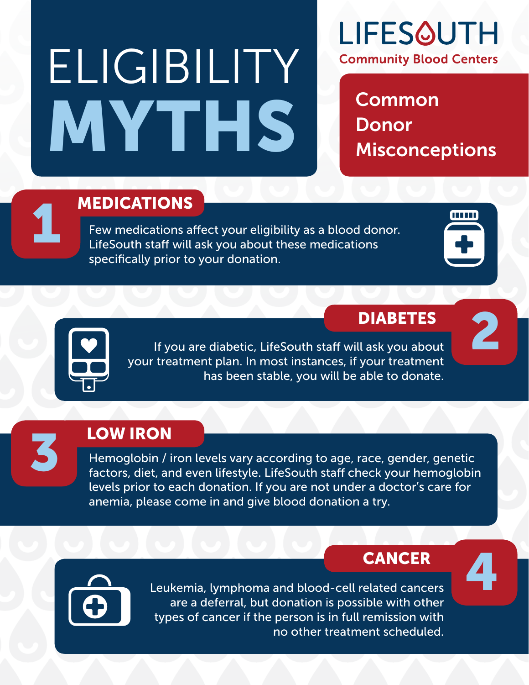# ELIGIBILITY MYTHS Misconceptions



**Common** 

## **1 MEDICATIONS**<br>Few medications a

Few medications affect your eligibility as a blood donor. LifeSouth staff will ask you about these medications specifically prior to your donation.

### DIABETES 2



If you are diabetic, LifeSouth staff will ask you about your treatment plan. In most instances, if your treatment has been stable, you will be able to donate.

**LOW IRON** 

Hemoglobin / iron levels vary according to age, race, gender, genetic factors, diet, and even lifestyle. LifeSouth staff check your hemoglobin levels prior to each donation. If you are not under a doctor's care for anemia, please come in and give blood donation a try.

### **CANCER**



Leukemia, lymphoma and blood-cell related cancers are a deferral, but donation is possible with other types of cancer if the person is in full remission with no other treatment scheduled.